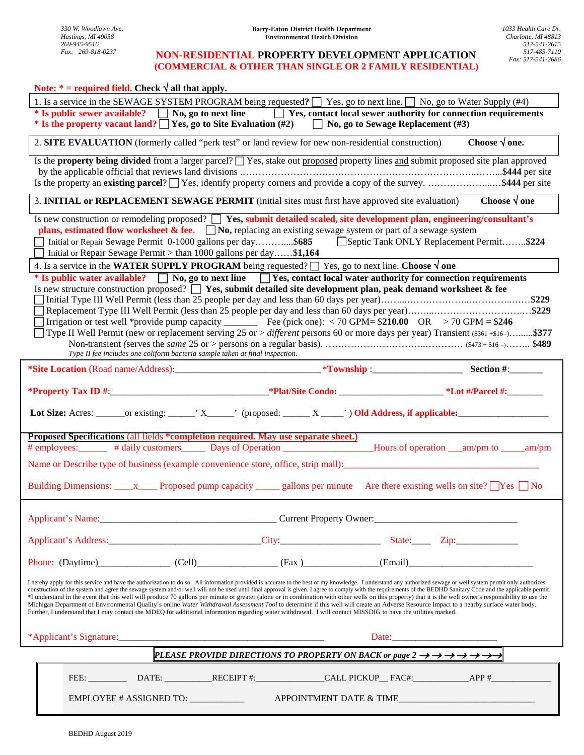### **NON-RESIDENTIAL PROPERTY DEVELOPMENT APPLICATION**  *Fax: 269-818-0237 517-485-7110*   **(COMMERCIAL & OTHER THAN SINGLE OR 2 FAMILY RESIDENTIAL)**

| Note: $*$ = required field. Check $\sqrt{ }$ all that apply.                                                                                                                                                                                                                                                                                                                                                                                                                                                                                                                                                                                                                                                                                                                                                                                                                                                                                                                                                 |                                                                                                                                               |                        |  |  |  |  |  |
|--------------------------------------------------------------------------------------------------------------------------------------------------------------------------------------------------------------------------------------------------------------------------------------------------------------------------------------------------------------------------------------------------------------------------------------------------------------------------------------------------------------------------------------------------------------------------------------------------------------------------------------------------------------------------------------------------------------------------------------------------------------------------------------------------------------------------------------------------------------------------------------------------------------------------------------------------------------------------------------------------------------|-----------------------------------------------------------------------------------------------------------------------------------------------|------------------------|--|--|--|--|--|
| 1. Is a service in the SEWAGE SYSTEM PROGRAM being requested? $\Box$ Yes, go to next line. $\Box$ No, go to Water Supply (#4)<br>* Is public sewer available? No, go to next line Yes, contact local sewer authority for connection requirements<br>* Is the property vacant land? The Yes, go to Site Evaluation $(\#2)$ The No, go to Sewage Replacement $(\#3)$                                                                                                                                                                                                                                                                                                                                                                                                                                                                                                                                                                                                                                           |                                                                                                                                               |                        |  |  |  |  |  |
| 2. SITE EVALUATION (formerly called "perk test" or land review for new non-residential construction)                                                                                                                                                                                                                                                                                                                                                                                                                                                                                                                                                                                                                                                                                                                                                                                                                                                                                                         |                                                                                                                                               | Choose $\sqrt{ }$ one. |  |  |  |  |  |
| Is the <b>property being divided</b> from a larger parcel? $\Box$ Yes, stake out <b>proposed</b> property lines and submit proposed site plan approved<br>Is the property an existing parcel? Ses, identify property corners and provide a copy of the survey. \$444 per site                                                                                                                                                                                                                                                                                                                                                                                                                                                                                                                                                                                                                                                                                                                                |                                                                                                                                               |                        |  |  |  |  |  |
| 3. <b>INITIAL or REPLACEMENT SEWAGE PERMIT</b> (initial sites must first have approved site evaluation)<br>Choose $\sqrt{ }$ one                                                                                                                                                                                                                                                                                                                                                                                                                                                                                                                                                                                                                                                                                                                                                                                                                                                                             |                                                                                                                                               |                        |  |  |  |  |  |
| Is new construction or remodeling proposed? $\Box$ Yes, submit detailed scaled, site development plan, engineering/consultant's<br><b>plans, estimated flow worksheet &amp; fee.</b> $\Box$ <b>No</b> , replacing an existing sewage system or part of a sewage system<br>Initial or Repair Sewage Permit 0-1000 gallons per day\$685 Septic Tank ONLY Replacement Permit\$224<br>Initial or Repair Sewage Permit > than 1000 gallons per day\$1,164                                                                                                                                                                                                                                                                                                                                                                                                                                                                                                                                                         |                                                                                                                                               |                        |  |  |  |  |  |
| 4. Is a service in the WATER SUPPLY PROGRAM being requested? $\Box$ Yes, go to next line. Choose $\sqrt{ }$ one                                                                                                                                                                                                                                                                                                                                                                                                                                                                                                                                                                                                                                                                                                                                                                                                                                                                                              |                                                                                                                                               |                        |  |  |  |  |  |
| * Is public water available? $\Box$ No, go to next line $\Box$ Yes, contact local water authority for connection requirements<br>Is new structure construction proposed? $\Box$ Yes, submit detailed site development plan, peak demand worksheet & fee<br>Irrigation or test well *provide pump capacity __________ Fee (pick one): < 70 GPM= $$210.00$ OR > 70 GPM = $$246$<br>Type II Well Permit (new or replacement serving 25 or > <i>different</i> persons 60 or more days per year) Transient (\$361+\$16=)\$377<br>Type II fee includes one coliform bacteria sample taken at final inspection.                                                                                                                                                                                                                                                                                                                                                                                                     |                                                                                                                                               |                        |  |  |  |  |  |
|                                                                                                                                                                                                                                                                                                                                                                                                                                                                                                                                                                                                                                                                                                                                                                                                                                                                                                                                                                                                              |                                                                                                                                               |                        |  |  |  |  |  |
|                                                                                                                                                                                                                                                                                                                                                                                                                                                                                                                                                                                                                                                                                                                                                                                                                                                                                                                                                                                                              |                                                                                                                                               |                        |  |  |  |  |  |
|                                                                                                                                                                                                                                                                                                                                                                                                                                                                                                                                                                                                                                                                                                                                                                                                                                                                                                                                                                                                              |                                                                                                                                               |                        |  |  |  |  |  |
|                                                                                                                                                                                                                                                                                                                                                                                                                                                                                                                                                                                                                                                                                                                                                                                                                                                                                                                                                                                                              |                                                                                                                                               |                        |  |  |  |  |  |
| <b>Proposed Specifications (all fields *completion required. May use separate sheet.)</b>                                                                                                                                                                                                                                                                                                                                                                                                                                                                                                                                                                                                                                                                                                                                                                                                                                                                                                                    |                                                                                                                                               |                        |  |  |  |  |  |
|                                                                                                                                                                                                                                                                                                                                                                                                                                                                                                                                                                                                                                                                                                                                                                                                                                                                                                                                                                                                              |                                                                                                                                               |                        |  |  |  |  |  |
| Name or Describe type of business (example convenience store, office, strip mall):<br>Building Dimensions: <u>______</u> Proposed pump capacity ________ gallons per minute Are there existing wells on site? No                                                                                                                                                                                                                                                                                                                                                                                                                                                                                                                                                                                                                                                                                                                                                                                             |                                                                                                                                               |                        |  |  |  |  |  |
|                                                                                                                                                                                                                                                                                                                                                                                                                                                                                                                                                                                                                                                                                                                                                                                                                                                                                                                                                                                                              |                                                                                                                                               |                        |  |  |  |  |  |
|                                                                                                                                                                                                                                                                                                                                                                                                                                                                                                                                                                                                                                                                                                                                                                                                                                                                                                                                                                                                              |                                                                                                                                               |                        |  |  |  |  |  |
|                                                                                                                                                                                                                                                                                                                                                                                                                                                                                                                                                                                                                                                                                                                                                                                                                                                                                                                                                                                                              |                                                                                                                                               |                        |  |  |  |  |  |
| I hereby apply for this service and have the authorization to do so. All information provided is accurate to the best of my knowledge. I understand any authorized sewage or well system permit only authorizes<br>construction of the system and agree the sewage system and/or well will not be used until final approval is given. I agree to comply with the requirements of the BEDHD Sanitary Code and the applicable permit.<br>*I understand in the event that this well will produce 70 gallons per minute or greater (alone or in combination with other wells on this property) that it is the well owner's responsibility to use the<br>Michigan Department of Environmental Quality's online Water Withdrawal Assessment Tool to determine if this well will create an Adverse Resource Impact to a nearby surface water body.<br>Further, I understand that I may contact the MDEQ for additional information regarding water withdrawal. I will contact MISSDIG to have the utilities marked. |                                                                                                                                               |                        |  |  |  |  |  |
|                                                                                                                                                                                                                                                                                                                                                                                                                                                                                                                                                                                                                                                                                                                                                                                                                                                                                                                                                                                                              |                                                                                                                                               |                        |  |  |  |  |  |
|                                                                                                                                                                                                                                                                                                                                                                                                                                                                                                                                                                                                                                                                                                                                                                                                                                                                                                                                                                                                              | PLEASE PROVIDE DIRECTIONS TO PROPERTY ON BACK or page $2 \rightarrow \rightarrow \rightarrow \rightarrow \rightarrow \rightarrow \rightarrow$ |                        |  |  |  |  |  |
|                                                                                                                                                                                                                                                                                                                                                                                                                                                                                                                                                                                                                                                                                                                                                                                                                                                                                                                                                                                                              |                                                                                                                                               |                        |  |  |  |  |  |
| EMPLOYEE # ASSIGNED TO: ___________                                                                                                                                                                                                                                                                                                                                                                                                                                                                                                                                                                                                                                                                                                                                                                                                                                                                                                                                                                          | APPOINTMENT DATE & TIME                                                                                                                       |                        |  |  |  |  |  |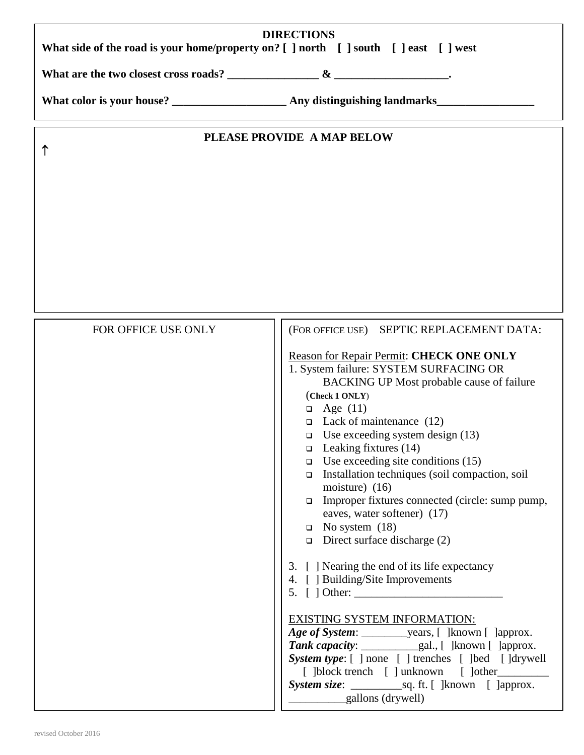| <b>DIRECTIONS</b><br>What side of the road is your home/property on? [ ] north [ ] south [ ] east [ ] west |                                                                                                                                                                                                                                                                                                                                                                                                                                                                                                                                                                                                                                                                                                                                                                                                                                                                                             |  |  |  |  |  |
|------------------------------------------------------------------------------------------------------------|---------------------------------------------------------------------------------------------------------------------------------------------------------------------------------------------------------------------------------------------------------------------------------------------------------------------------------------------------------------------------------------------------------------------------------------------------------------------------------------------------------------------------------------------------------------------------------------------------------------------------------------------------------------------------------------------------------------------------------------------------------------------------------------------------------------------------------------------------------------------------------------------|--|--|--|--|--|
|                                                                                                            | What are the two closest cross roads? $\frac{8}{2}$                                                                                                                                                                                                                                                                                                                                                                                                                                                                                                                                                                                                                                                                                                                                                                                                                                         |  |  |  |  |  |
|                                                                                                            |                                                                                                                                                                                                                                                                                                                                                                                                                                                                                                                                                                                                                                                                                                                                                                                                                                                                                             |  |  |  |  |  |
|                                                                                                            | PLEASE PROVIDE A MAP BELOW                                                                                                                                                                                                                                                                                                                                                                                                                                                                                                                                                                                                                                                                                                                                                                                                                                                                  |  |  |  |  |  |
|                                                                                                            |                                                                                                                                                                                                                                                                                                                                                                                                                                                                                                                                                                                                                                                                                                                                                                                                                                                                                             |  |  |  |  |  |
| FOR OFFICE USE ONLY                                                                                        | (FOR OFFICE USE) SEPTIC REPLACEMENT DATA:<br>Reason for Repair Permit: CHECK ONE ONLY<br>1. System failure: SYSTEM SURFACING OR<br>BACKING UP Most probable cause of failure<br>(Check 1 ONLY)<br>$\Box$ Age (11)<br>$\Box$ Lack of maintenance (12)<br>□ Use exceeding system design $(13)$<br>$\Box$ Leaking fixtures (14)<br>$\Box$ Use exceeding site conditions (15)<br>Installation techniques (soil compaction, soil<br>$\Box$<br>moisture) $(16)$<br>Improper fixtures connected (circle: sump pump,<br>$\Box$<br>eaves, water softener) (17)<br>$\Box$ No system (18)<br>$\Box$ Direct surface discharge (2)<br>3. [ ] Nearing the end of its life expectancy<br>4. [ ] Building/Site Improvements<br>$5. \int$ Other:<br><b>EXISTING SYSTEM INFORMATION:</b><br>System type: [ ] none [ ] trenches [ ]bed [ ]drywell<br>[ ]block trench [ ] unknown [ ]other<br>gallons (drywell) |  |  |  |  |  |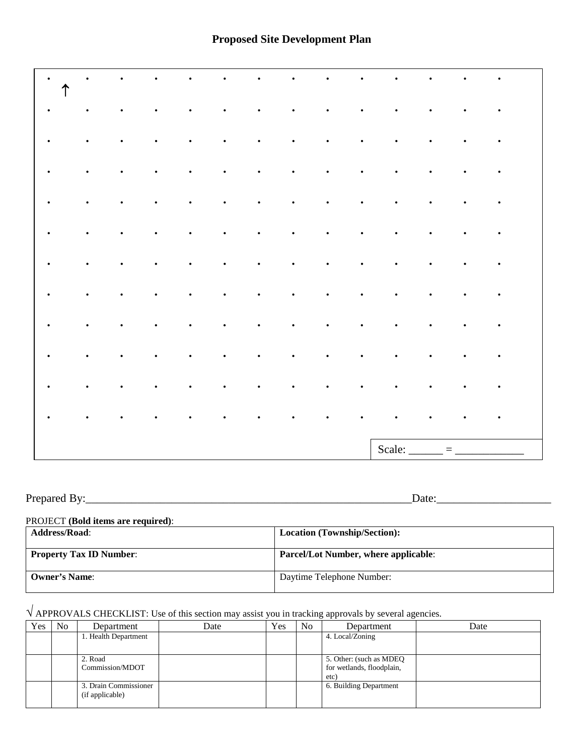| $\bullet$<br>$\uparrow$ | ٠         |           |           |           |           |           |           |           |           |                                 |           |           |           |  |
|-------------------------|-----------|-----------|-----------|-----------|-----------|-----------|-----------|-----------|-----------|---------------------------------|-----------|-----------|-----------|--|
| $\bullet$               | $\bullet$ | $\bullet$ | $\bullet$ | $\bullet$ | $\bullet$ | $\bullet$ | $\bullet$ | $\bullet$ | $\bullet$ | $\bullet$                       | $\bullet$ | $\bullet$ | $\bullet$ |  |
| $\bullet$               | $\bullet$ | $\bullet$ | $\bullet$ | $\bullet$ | $\bullet$ | $\bullet$ | $\bullet$ | $\bullet$ | $\bullet$ | $\bullet$                       | $\bullet$ | $\bullet$ | $\bullet$ |  |
| $\bullet$               | $\bullet$ | $\bullet$ | $\bullet$ | $\bullet$ | $\bullet$ | $\bullet$ | $\bullet$ | $\bullet$ | $\bullet$ | $\bullet$                       | $\bullet$ | $\bullet$ | $\bullet$ |  |
| $\bullet$               | $\bullet$ | $\bullet$ | $\bullet$ | $\bullet$ | $\bullet$ | $\bullet$ | $\bullet$ | $\bullet$ | $\bullet$ | $\bullet$                       | $\bullet$ | $\bullet$ | $\bullet$ |  |
| $\bullet$               | $\bullet$ | $\bullet$ | $\bullet$ | $\bullet$ | $\bullet$ | $\bullet$ | $\bullet$ | $\bullet$ | $\bullet$ | $\bullet$                       | $\bullet$ | $\bullet$ | $\bullet$ |  |
| $\bullet$               | $\bullet$ | $\bullet$ | $\bullet$ | $\bullet$ | $\bullet$ | $\bullet$ | $\bullet$ | $\bullet$ | $\bullet$ | $\bullet$                       | $\bullet$ | $\bullet$ | $\bullet$ |  |
| $\bullet$               | $\bullet$ | $\bullet$ | $\bullet$ | $\bullet$ | $\bullet$ | $\bullet$ | $\bullet$ | $\bullet$ | $\bullet$ | $\bullet$                       | $\bullet$ | $\bullet$ | $\bullet$ |  |
| $\bullet$               | $\bullet$ | $\bullet$ | $\bullet$ | $\bullet$ | $\bullet$ | $\bullet$ | $\bullet$ | $\bullet$ | $\bullet$ | $\bullet$                       | $\bullet$ | $\bullet$ | $\bullet$ |  |
| $\bullet$               | $\bullet$ | $\bullet$ | $\bullet$ | $\bullet$ | $\bullet$ | $\bullet$ | $\bullet$ | $\bullet$ | $\bullet$ | $\bullet$                       | $\bullet$ | $\bullet$ | $\bullet$ |  |
| $\bullet$               | $\bullet$ | $\bullet$ | $\bullet$ | $\bullet$ | $\bullet$ | $\bullet$ | $\bullet$ | $\bullet$ | $\bullet$ | $\bullet$                       | $\bullet$ | $\bullet$ | $\bullet$ |  |
| $\bullet$               | $\bullet$ | $\bullet$ | $\bullet$ | ٠         | $\bullet$ | $\bullet$ | $\bullet$ | $\bullet$ | $\bullet$ | $\bullet$                       | $\bullet$ | $\bullet$ | $\bullet$ |  |
|                         |           |           |           |           |           |           |           |           |           | Scale: $\overline{\phantom{a}}$ |           | $\equiv$  |           |  |

| $\mathbf{r}$<br>Prf<br>.<br>$\sim$ $\sim$ $\sim$ $\sim$<br>__<br>. | 12 L C<br><br>-- |
|--------------------------------------------------------------------|------------------|
|                                                                    |                  |

| PROJECT (Bold items are required): |  |  |  |
|------------------------------------|--|--|--|
|                                    |  |  |  |

| <b>Address/Road:</b>           | <b>Location (Township/Section):</b>         |
|--------------------------------|---------------------------------------------|
| <b>Property Tax ID Number:</b> | <b>Parcel/Lot Number, where applicable:</b> |
| <b>Owner's Name:</b>           | Daytime Telephone Number:                   |

# √ APPROVALS CHECKLIST: Use of this section may assist you in tracking approvals by several agencies.

| Yes | No. | Department                               | Date | Yes | N <sub>o</sub> | Department                                                   | Date |
|-----|-----|------------------------------------------|------|-----|----------------|--------------------------------------------------------------|------|
|     |     | 1. Health Department                     |      |     |                | 4. Local/Zoning                                              |      |
|     |     |                                          |      |     |                |                                                              |      |
|     |     | 2. Road<br>Commission/MDOT               |      |     |                | 5. Other: (such as MDEQ<br>for wetlands, floodplain,<br>etc) |      |
|     |     | 3. Drain Commissioner<br>(if applicable) |      |     |                | 6. Building Department                                       |      |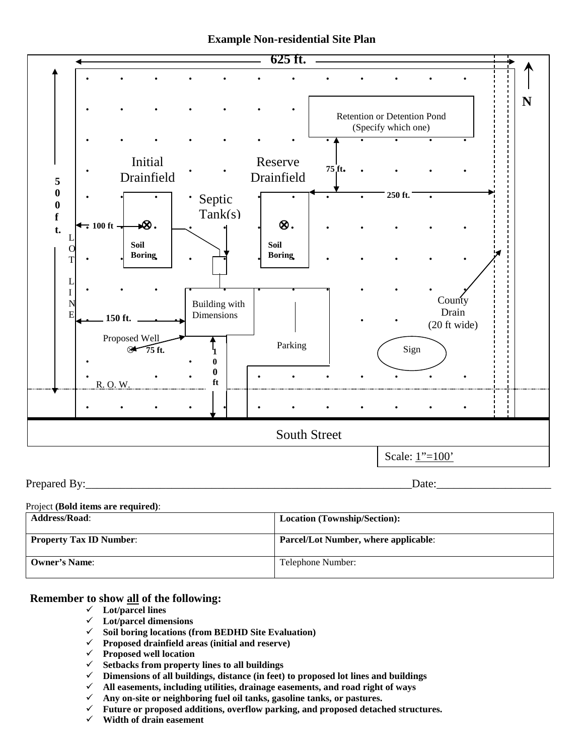



Prepared By:\_\_\_\_\_\_\_\_\_\_\_\_\_\_\_\_\_\_\_\_\_\_\_\_\_\_\_\_\_\_\_\_\_\_\_\_\_\_\_\_\_\_\_\_\_\_\_\_\_\_\_\_\_\_\_\_\_Date:\_\_\_\_\_\_\_\_\_\_\_\_\_\_\_\_\_\_\_\_

#### Project **(Bold items are required)**:

| <b>Address/Road:</b>           | <b>Location (Township/Section):</b>         |
|--------------------------------|---------------------------------------------|
| <b>Property Tax ID Number:</b> | <b>Parcel/Lot Number, where applicable:</b> |
| <b>Owner's Name:</b>           | Telephone Number:                           |

### **Remember to show all of the following:**

- **Lot/parcel lines**
- **Lot/parcel dimensions**
- **Soil boring locations (from BEDHD Site Evaluation)**
- **Proposed drainfield areas (initial and reserve)**
- **Proposed well location**
- **Setbacks from property lines to all buildings**
- **Dimensions of all buildings, distance (in feet) to proposed lot lines and buildings**
- **All easements, including utilities, drainage easements, and road right of ways**
- **Any on-site or neighboring fuel oil tanks, gasoline tanks, or pastures.**
- **Future or proposed additions, overflow parking, and proposed detached structures.**
- **Width of drain easement**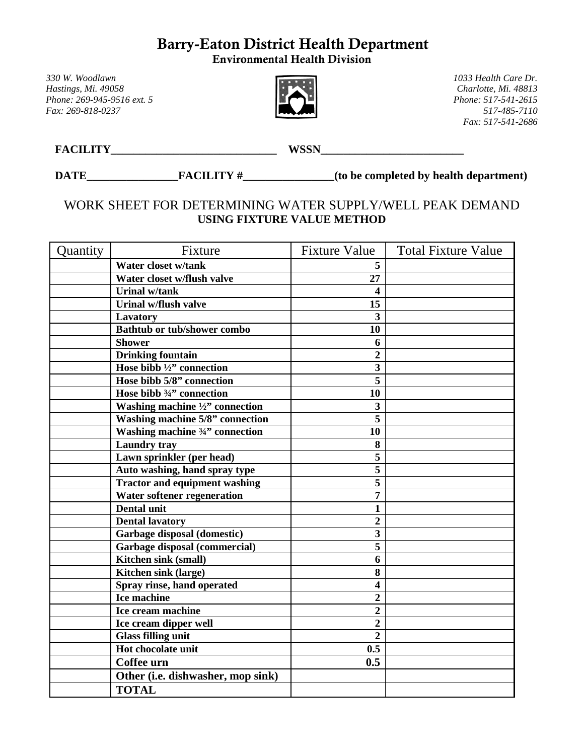# Barry-Eaton District Health Department

Environmental Health Division

*330 W. Woodlawn 1033 Health Care Dr. Phone: 269-945-9516 ext. 5 Fax: 269-818-0237 517-485-7110* 



*Hastings, Mi. 49058 Charlotte, Mi. 48813 Fax: 517-541-2686*

**FACILITY\_\_\_\_\_\_\_\_\_\_\_\_\_\_\_\_\_\_\_\_\_\_\_\_\_\_\_\_\_ WSSN\_\_\_\_\_\_\_\_\_\_\_\_\_\_\_\_\_\_\_\_\_\_\_\_\_**

DATE\_\_\_\_\_\_\_\_\_\_\_\_\_\_\_\_\_\_\_\_FACILITY #\_\_\_\_\_\_\_\_\_\_\_\_\_\_\_(to be completed by health department)

# WORK SHEET FOR DETERMINING WATER SUPPLY/WELL PEAK DEMAND **USING FIXTURE VALUE METHOD**

| Quantity | Fixture                                  | <b>Fixture Value</b>    | <b>Total Fixture Value</b> |
|----------|------------------------------------------|-------------------------|----------------------------|
|          | Water closet w/tank                      | 5                       |                            |
|          | Water closet w/flush valve               | 27                      |                            |
|          | <b>Urinal w/tank</b>                     | 4                       |                            |
|          | Urinal w/flush valve                     | 15                      |                            |
|          | Lavatory                                 | 3                       |                            |
|          | <b>Bathtub or tub/shower combo</b>       | 10                      |                            |
|          | <b>Shower</b>                            | 6                       |                            |
|          | <b>Drinking fountain</b>                 | $\boldsymbol{2}$        |                            |
|          | Hose bibb $\frac{1}{2}$ connection       | $\overline{\mathbf{3}}$ |                            |
|          | Hose bibb 5/8" connection                | 5                       |                            |
|          | Hose bibb 3/4" connection                | 10                      |                            |
|          | Washing machine $\frac{1}{2}$ connection | 3                       |                            |
|          | Washing machine 5/8" connection          | 5                       |                            |
|          | Washing machine 3/4" connection          | 10                      |                            |
|          | <b>Laundry tray</b>                      | 8                       |                            |
|          | Lawn sprinkler (per head)                | 5                       |                            |
|          | Auto washing, hand spray type            | 5                       |                            |
|          | <b>Tractor and equipment washing</b>     | 5                       |                            |
|          | Water softener regeneration              | 7                       |                            |
|          | <b>Dental unit</b>                       | 1                       |                            |
|          | <b>Dental lavatory</b>                   | $\overline{2}$          |                            |
|          | Garbage disposal (domestic)              | 3                       |                            |
|          | <b>Garbage disposal (commercial)</b>     | 5                       |                            |
|          | Kitchen sink (small)                     | 6                       |                            |
|          | Kitchen sink (large)                     | 8                       |                            |
|          | Spray rinse, hand operated               | 4                       |                            |
|          | Ice machine                              | $\overline{2}$          |                            |
|          | Ice cream machine                        | $\overline{2}$          |                            |
|          | Ice cream dipper well                    | $\overline{2}$          |                            |
|          | <b>Glass filling unit</b>                | $\overline{2}$          |                            |
|          | Hot chocolate unit                       | 0.5                     |                            |
|          | Coffee urn                               | 0.5                     |                            |
|          | Other (i.e. dishwasher, mop sink)        |                         |                            |
|          | <b>TOTAL</b>                             |                         |                            |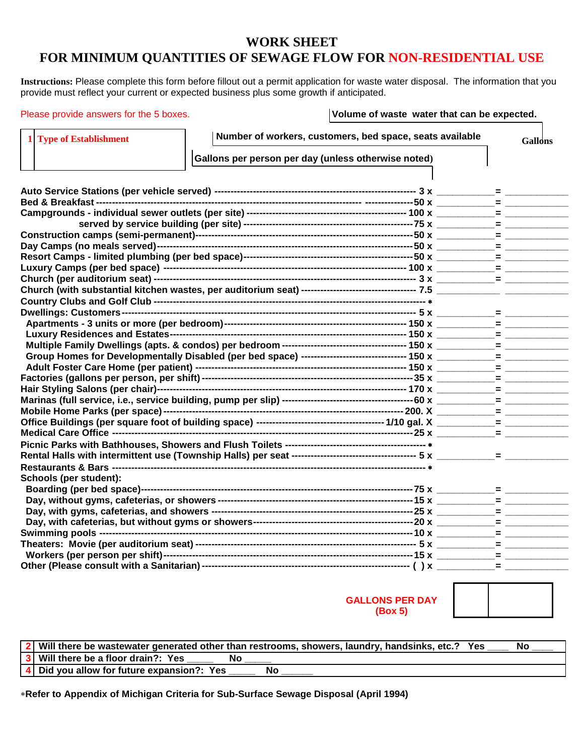# **WORK SHEET**

# **FOR MINIMUM QUANTITIES OF SEWAGE FLOW FOR NON-RESIDENTIAL USE**

**Instructions:** Please complete this form before fillout out a permit application for waste water disposal. The information that you provide must reflect your current or expected business plus some growth if anticipated.

Please provide answers for the 5 boxes. **Volume of waste water that can be expected.**

| <b>Type of Establishment</b> |                                                     | Number of workers, customers, bed space, seats available | <b>Gallons</b> |
|------------------------------|-----------------------------------------------------|----------------------------------------------------------|----------------|
|                              | Gallons per person per day (unless otherwise noted) |                                                          |                |
|                              |                                                     |                                                          |                |
|                              |                                                     |                                                          |                |
|                              |                                                     |                                                          |                |
|                              |                                                     |                                                          |                |
|                              |                                                     |                                                          |                |
|                              |                                                     |                                                          |                |
|                              |                                                     |                                                          |                |
|                              |                                                     |                                                          |                |
|                              |                                                     |                                                          |                |
|                              |                                                     |                                                          |                |
|                              |                                                     |                                                          |                |
|                              |                                                     |                                                          |                |
|                              |                                                     |                                                          |                |
|                              |                                                     |                                                          |                |
|                              |                                                     |                                                          |                |
|                              |                                                     |                                                          |                |
|                              |                                                     |                                                          |                |
|                              |                                                     |                                                          |                |
|                              |                                                     |                                                          |                |
|                              |                                                     |                                                          |                |
|                              |                                                     |                                                          |                |
|                              |                                                     |                                                          |                |
|                              |                                                     |                                                          |                |
|                              |                                                     |                                                          |                |
|                              |                                                     |                                                          |                |
|                              |                                                     |                                                          |                |
| Schools (per student):       |                                                     |                                                          |                |
|                              |                                                     |                                                          |                |
|                              |                                                     |                                                          |                |
|                              |                                                     |                                                          |                |
|                              |                                                     |                                                          |                |
|                              |                                                     |                                                          |                |
|                              |                                                     |                                                          |                |
|                              |                                                     |                                                          |                |
|                              |                                                     |                                                          |                |
|                              |                                                     |                                                          |                |

**GALLONS PER DAY (Box 5)**

**2 Will there be wastewater generated other than restrooms, showers, laundry, handsinks, etc.? Yes \_\_\_\_ No \_\_\_\_ 3 Will there be a floor drain?: Yes \_\_\_\_\_ No \_\_\_\_\_ 4** Did you allow for future expansion?: Yes

∗**Refer to Appendix of Michigan Criteria for Sub-Surface Sewage Disposal (April 1994)**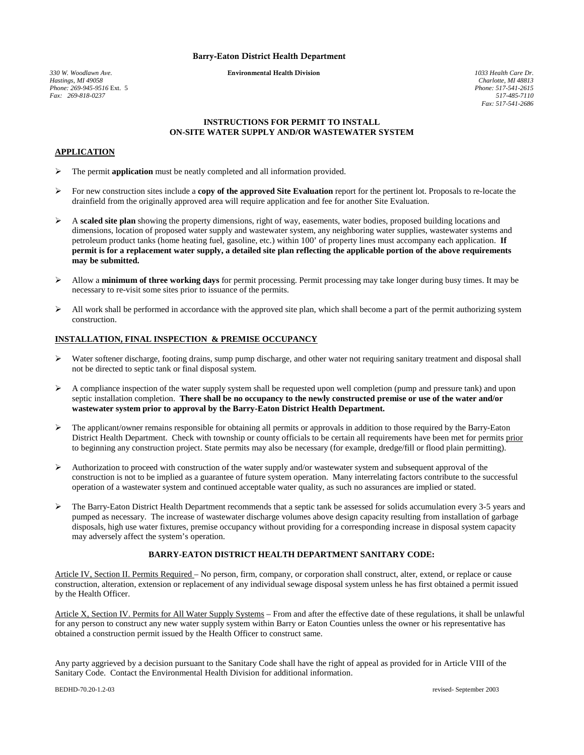#### Barry-Eaton District Health Department

*330 W. Woodlawn Ave.* Environmental Health Division *1033 Health Care Dr. Phone: 269-945-9516* Ext. 5 *Phone: 517-541-2615 Fax:* 269-818-0237

*Charlotte, MI 48813*<br>*Phone: 517-541-2615 Fax: 517-541-2686*

#### **INSTRUCTIONS FOR PERMIT TO INSTALL ON-SITE WATER SUPPLY AND/OR WASTEWATER SYSTEM**

#### **APPLICATION**

- The permit **application** must be neatly completed and all information provided.
- For new construction sites include a **copy of the approved Site Evaluation** report for the pertinent lot. Proposals to re-locate the drainfield from the originally approved area will require application and fee for another Site Evaluation.
- A **scaled site plan** showing the property dimensions, right of way, easements, water bodies, proposed building locations and dimensions, location of proposed water supply and wastewater system, any neighboring water supplies, wastewater systems and petroleum product tanks (home heating fuel, gasoline, etc.) within 100' of property lines must accompany each application. **If permit is for a replacement water supply, a detailed site plan reflecting the applicable portion of the above requirements may be submitted.**
- Allow a **minimum of three working days** for permit processing. Permit processing may take longer during busy times. It may be necessary to re-visit some sites prior to issuance of the permits.
- $\triangleright$  All work shall be performed in accordance with the approved site plan, which shall become a part of the permit authorizing system construction.

#### **INSTALLATION, FINAL INSPECTION & PREMISE OCCUPANCY**

- $\triangleright$  Water softener discharge, footing drains, sump pump discharge, and other water not requiring sanitary treatment and disposal shall not be directed to septic tank or final disposal system.
- $\triangleright$  A compliance inspection of the water supply system shall be requested upon well completion (pump and pressure tank) and upon septic installation completion. **There shall be no occupancy to the newly constructed premise or use of the water and/or wastewater system prior to approval by the Barry-Eaton District Health Department.**
- $\triangleright$  The applicant/owner remains responsible for obtaining all permits or approvals in addition to those required by the Barry-Eaton District Health Department. Check with township or county officials to be certain all requirements have been met for permits prior to beginning any construction project. State permits may also be necessary (for example, dredge/fill or flood plain permitting).
- $\triangleright$  Authorization to proceed with construction of the water supply and/or wastewater system and subsequent approval of the construction is not to be implied as a guarantee of future system operation. Many interrelating factors contribute to the successful operation of a wastewater system and continued acceptable water quality, as such no assurances are implied or stated.
- The Barry-Eaton District Health Department recommends that a septic tank be assessed for solids accumulation every 3-5 years and pumped as necessary. The increase of wastewater discharge volumes above design capacity resulting from installation of garbage disposals, high use water fixtures, premise occupancy without providing for a corresponding increase in disposal system capacity may adversely affect the system's operation.

#### **BARRY-EATON DISTRICT HEALTH DEPARTMENT SANITARY CODE:**

Article IV, Section II. Permits Required – No person, firm, company, or corporation shall construct, alter, extend, or replace or cause construction, alteration, extension or replacement of any individual sewage disposal system unless he has first obtained a permit issued by the Health Officer.

Article X, Section IV. Permits for All Water Supply Systems – From and after the effective date of these regulations, it shall be unlawful for any person to construct any new water supply system within Barry or Eaton Counties unless the owner or his representative has obtained a construction permit issued by the Health Officer to construct same.

Any party aggrieved by a decision pursuant to the Sanitary Code shall have the right of appeal as provided for in Article VIII of the Sanitary Code. Contact the Environmental Health Division for additional information.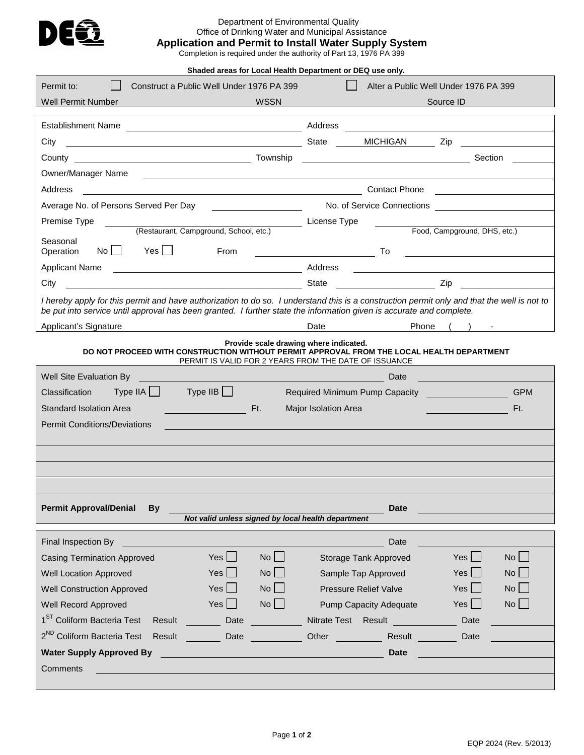

# Department of Environmental Quality Office of Drinking Water and Municipal Assistance

**Application and Permit to Install Water Supply System**

Completion is required under the authority of Part 13, 1976 PA 399

**Shaded areas for Local Health Department or DEQ use only.**

| Permit to:<br>Construct a Public Well Under 1976 PA 399                                                                                                                                                                                                             | Alter a Public Well Under 1976 PA 399                                                                                                                                                                                                                                                                                                                           |
|---------------------------------------------------------------------------------------------------------------------------------------------------------------------------------------------------------------------------------------------------------------------|-----------------------------------------------------------------------------------------------------------------------------------------------------------------------------------------------------------------------------------------------------------------------------------------------------------------------------------------------------------------|
| Well Permit Number<br><b>WSSN</b>                                                                                                                                                                                                                                   | Source ID                                                                                                                                                                                                                                                                                                                                                       |
|                                                                                                                                                                                                                                                                     |                                                                                                                                                                                                                                                                                                                                                                 |
|                                                                                                                                                                                                                                                                     |                                                                                                                                                                                                                                                                                                                                                                 |
| State MICHIGAN Zip<br>City                                                                                                                                                                                                                                          |                                                                                                                                                                                                                                                                                                                                                                 |
|                                                                                                                                                                                                                                                                     | Section                                                                                                                                                                                                                                                                                                                                                         |
| Owner/Manager Name<br><u> 1989 - Johann Harry Harry Harry Harry Harry Harry Harry Harry Harry Harry Harry Harry Harry Harry Harry Harry</u>                                                                                                                         |                                                                                                                                                                                                                                                                                                                                                                 |
| Address                                                                                                                                                                                                                                                             | Contact Phone Contact Phone                                                                                                                                                                                                                                                                                                                                     |
| Average No. of Persons Served Per Day<br><u> 1989 - Johann Barbara, martin a</u>                                                                                                                                                                                    | No. of Service Connections                                                                                                                                                                                                                                                                                                                                      |
| Premise Type<br>(Restaurant, Campground, School, etc.)                                                                                                                                                                                                              | License Type<br>Food, Campground, DHS, etc.)                                                                                                                                                                                                                                                                                                                    |
| Seasonal                                                                                                                                                                                                                                                            |                                                                                                                                                                                                                                                                                                                                                                 |
| $\mathsf{No} \mid \square$<br>Yes    <br>From<br>Operation                                                                                                                                                                                                          | <u>same and the second the second to the second the second term of the second term of the second term of the second</u><br><u>and the contract of the contract of the contract of the contract of the contract of the contract of the contract of the contract of the contract of the contract of the contract of the contract of the contract of the contr</u> |
| <b>Applicant Name</b><br><u> 1989 - Johann Stoff, fransk politik (d. 1989)</u>                                                                                                                                                                                      | Address                                                                                                                                                                                                                                                                                                                                                         |
| <u>and the set of the set of the set of the set of the set of the set of the set of the set of the set of the set o</u><br>City                                                                                                                                     | <u>and</u> <i>zip</i> zip                                                                                                                                                                                                                                                                                                                                       |
| I hereby apply for this permit and have authorization to do so. I understand this is a construction permit only and that the well is not to<br>be put into service until approval has been granted. I further state the information given is accurate and complete. |                                                                                                                                                                                                                                                                                                                                                                 |
| Applicant's Signature<br><u> 1980 - Johann Barnett, fransk politik (</u>                                                                                                                                                                                            | Date and the state of the state of the state of the state of the state of the state of the state of the state<br>Phone                                                                                                                                                                                                                                          |
| Provide scale drawing where indicated.<br>DO NOT PROCEED WITH CONSTRUCTION WITHOUT PERMIT APPROVAL FROM THE LOCAL HEALTH DEPARTMENT<br>PERMIT IS VALID FOR 2 YEARS FROM THE DATE OF ISSUANCE                                                                        |                                                                                                                                                                                                                                                                                                                                                                 |
| Well Site Evaluation By                                                                                                                                                                                                                                             | Date                                                                                                                                                                                                                                                                                                                                                            |
| $Type IIA \begin{array}{ccc} \end{array}$ Type IIB<br>Classification                                                                                                                                                                                                | Required Minimum Pump Capacity<br><b>GPM</b>                                                                                                                                                                                                                                                                                                                    |
| Standard Isolation Area<br>Ft.                                                                                                                                                                                                                                      | Ft.<br>Major Isolation Area                                                                                                                                                                                                                                                                                                                                     |
| <b>Permit Conditions/Deviations</b>                                                                                                                                                                                                                                 |                                                                                                                                                                                                                                                                                                                                                                 |
|                                                                                                                                                                                                                                                                     |                                                                                                                                                                                                                                                                                                                                                                 |
|                                                                                                                                                                                                                                                                     |                                                                                                                                                                                                                                                                                                                                                                 |
|                                                                                                                                                                                                                                                                     |                                                                                                                                                                                                                                                                                                                                                                 |
|                                                                                                                                                                                                                                                                     |                                                                                                                                                                                                                                                                                                                                                                 |
| <b>Permit Approval/Denial</b><br><b>By</b>                                                                                                                                                                                                                          | <b>Date</b>                                                                                                                                                                                                                                                                                                                                                     |
| Not valid unless signed by local health department                                                                                                                                                                                                                  |                                                                                                                                                                                                                                                                                                                                                                 |
|                                                                                                                                                                                                                                                                     |                                                                                                                                                                                                                                                                                                                                                                 |
| Final Inspection By                                                                                                                                                                                                                                                 | Date<br>$No$ $\Box$                                                                                                                                                                                                                                                                                                                                             |
| Yes<br>$No$ $\Box$<br><b>Casing Termination Approved</b><br>$No$ $\Box$<br><b>Well Location Approved</b><br>Yes                                                                                                                                                     | $Yes$    <br>Storage Tank Approved<br>$Yes$ $\Box$<br>Sample Tap Approved<br>$No$ $\Box$                                                                                                                                                                                                                                                                        |
| <b>No</b><br>Yes<br><b>Well Construction Approved</b>                                                                                                                                                                                                               | $Yes$ $\Box$<br>$No$ $\Box$<br>Pressure Relief Valve                                                                                                                                                                                                                                                                                                            |
| $No$ $\Box$<br>Yes<br>Well Record Approved                                                                                                                                                                                                                          | $No$ $\Box$<br>$Yes$ $\Box$<br><b>Pump Capacity Adequate</b>                                                                                                                                                                                                                                                                                                    |
| 1 <sup>ST</sup> Coliform Bacteria Test                                                                                                                                                                                                                              |                                                                                                                                                                                                                                                                                                                                                                 |
| Result<br>Date<br>2 <sup>ND</sup> Coliform Bacteria Test                                                                                                                                                                                                            | Nitrate Test Result<br>Date                                                                                                                                                                                                                                                                                                                                     |
| Result<br>Date                                                                                                                                                                                                                                                      | Other<br>Result<br>Date                                                                                                                                                                                                                                                                                                                                         |
| <b>Water Supply Approved By</b>                                                                                                                                                                                                                                     | <b>Date</b>                                                                                                                                                                                                                                                                                                                                                     |
| Comments                                                                                                                                                                                                                                                            |                                                                                                                                                                                                                                                                                                                                                                 |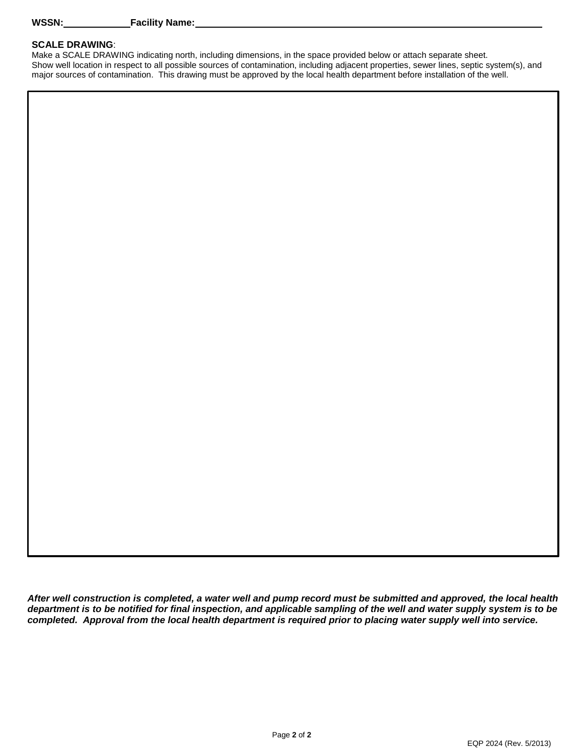### **SCALE DRAWING**:

Make a SCALE DRAWING indicating north, including dimensions, in the space provided below or attach separate sheet. Show well location in respect to all possible sources of contamination, including adjacent properties, sewer lines, septic system(s), and major sources of contamination. This drawing must be approved by the local health department before installation of the well.

*After well construction is completed, a water well and pump record must be submitted and approved, the local health department is to be notified for final inspection, and applicable sampling of the well and water supply system is to be completed. Approval from the local health department is required prior to placing water supply well into service.*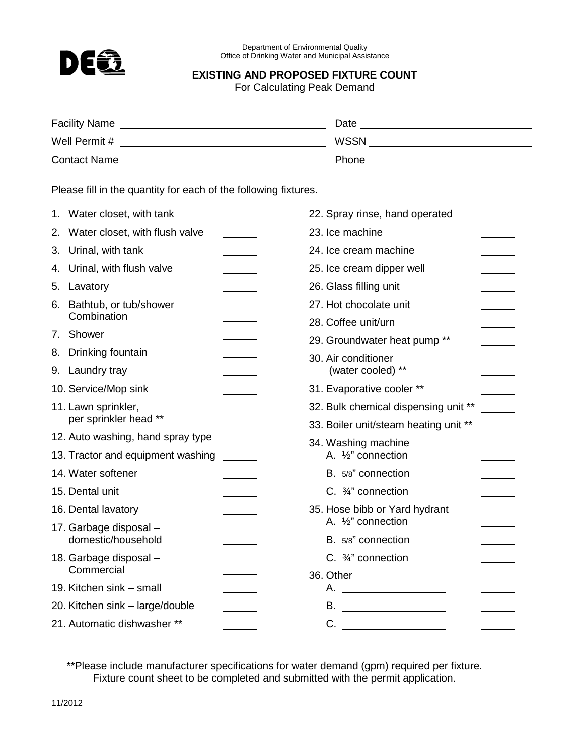

Department of Environmental Quality Office of Drinking Water and Municipal Assistance

## **EXISTING AND PROPOSED FIXTURE COUNT**

For Calculating Peak Demand

| <b>Facility Name</b> | Date        |
|----------------------|-------------|
| Well Permit #        | <b>WSSN</b> |
| <b>Contact Name</b>  | Phone       |

Please fill in the quantity for each of the following fixtures.

|    | 1. Water closet, with tank                   | 22. Spray rinse, hand operated        |
|----|----------------------------------------------|---------------------------------------|
| 2. | Water closet, with flush valve               | 23. Ice machine                       |
| 3. | Urinal, with tank                            | 24. Ice cream machine                 |
| 4. | Urinal, with flush valve                     | 25. Ice cream dipper well             |
| 5. | Lavatory                                     | 26. Glass filling unit                |
| 6. | Bathtub, or tub/shower<br>Combination        | 27. Hot chocolate unit                |
|    |                                              | 28. Coffee unit/urn                   |
| 7. | Shower                                       | 29. Groundwater heat pump **          |
| 8. | Drinking fountain                            | 30. Air conditioner                   |
|    | 9. Laundry tray                              | (water cooled) **                     |
|    | 10. Service/Mop sink                         | 31. Evaporative cooler **             |
|    | 11. Lawn sprinkler,<br>per sprinkler head ** | 32. Bulk chemical dispensing unit **  |
|    |                                              | 33. Boiler unit/steam heating unit ** |
|    | 12. Auto washing, hand spray type            | 34. Washing machine                   |
|    | 13. Tractor and equipment washing            | A. 1/2" connection                    |
|    | 14. Water softener                           | B. 5/8" connection                    |
|    | 15. Dental unit                              | C. $\frac{3}{4}$ " connection         |
|    | 16. Dental lavatory                          | 35. Hose bibb or Yard hydrant         |
|    | 17. Garbage disposal -<br>domestic/household | A. 1/2" connection                    |
|    |                                              | B. 5/8" connection                    |
|    | 18. Garbage disposal -<br>Commercial         | C. 3/4" connection                    |
|    |                                              | 36. Other                             |
|    | 19. Kitchen sink - small                     | А.                                    |
|    | 20. Kitchen sink - large/double              | В.                                    |
|    | 21. Automatic dishwasher **                  |                                       |

\*\*Please include manufacturer specifications for water demand (gpm) required per fixture. Fixture count sheet to be completed and submitted with the permit application.